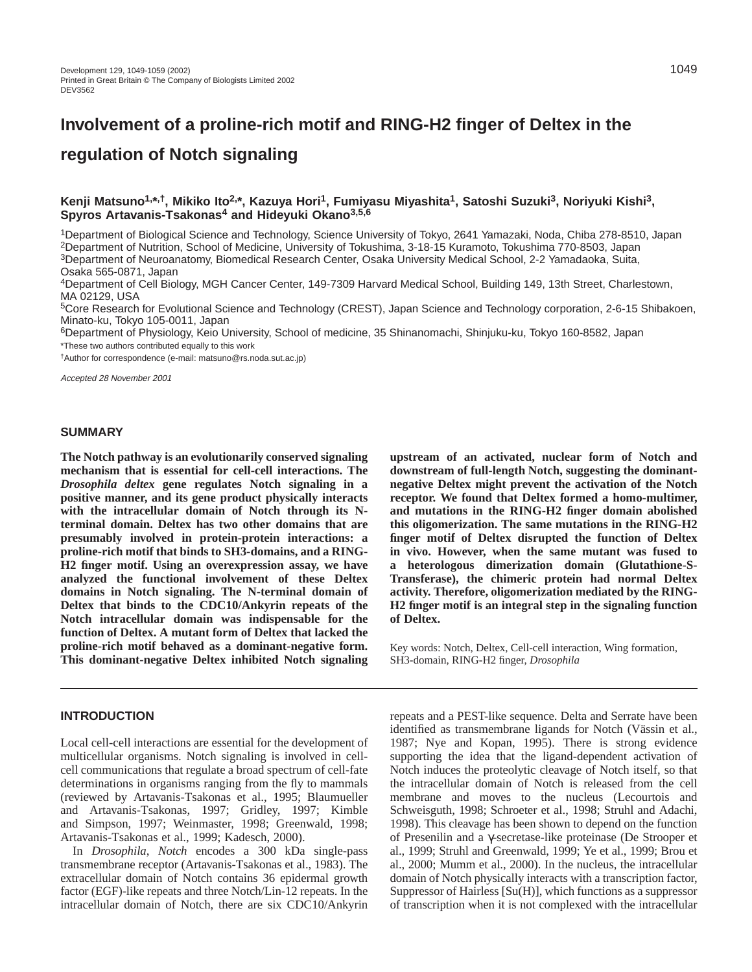# **Involvement of a proline-rich motif and RING-H2 finger of Deltex in the regulation of Notch signaling**

## **Kenji Matsuno1,\*,†, Mikiko Ito2,\*, Kazuya Hori1, Fumiyasu Miyashita1, Satoshi Suzuki3, Noriyuki Kishi3, Spyros Artavanis-Tsakonas4 and Hideyuki Okano3,5,6**

1Department of Biological Science and Technology, Science University of Tokyo, 2641 Yamazaki, Noda, Chiba 278-8510, Japan 2Department of Nutrition, School of Medicine, University of Tokushima, 3-18-15 Kuramoto, Tokushima 770-8503, Japan 3Department of Neuroanatomy, Biomedical Research Center, Osaka University Medical School, 2-2 Yamadaoka, Suita, Osaka 565-0871, Japan

4Department of Cell Biology, MGH Cancer Center, 149-7309 Harvard Medical School, Building 149, 13th Street, Charlestown, MA 02129, USA

5Core Research for Evolutional Science and Technology (CREST), Japan Science and Technology corporation, 2-6-15 Shibakoen, Minato-ku, Tokyo 105-0011, Japan

6Department of Physiology, Keio University, School of medicine, 35 Shinanomachi, Shinjuku-ku, Tokyo 160-8582, Japan \*These two authors contributed equally to this work

†Author for correspondence (e-mail: matsuno@rs.noda.sut.ac.jp)

Accepted 28 November 2001

## **SUMMARY**

**The Notch pathway is an evolutionarily conserved signaling mechanism that is essential for cell-cell interactions. The** *Drosophila deltex* **gene regulates Notch signaling in a positive manner, and its gene product physically interacts with the intracellular domain of Notch through its Nterminal domain. Deltex has two other domains that are presumably involved in protein-protein interactions: a proline-rich motif that binds to SH3-domains, and a RING-H2 finger motif. Using an overexpression assay, we have analyzed the functional involvement of these Deltex domains in Notch signaling. The N-terminal domain of Deltex that binds to the CDC10/Ankyrin repeats of the Notch intracellular domain was indispensable for the function of Deltex. A mutant form of Deltex that lacked the proline-rich motif behaved as a dominant-negative form. This dominant-negative Deltex inhibited Notch signaling**

## **upstream of an activated, nuclear form of Notch and downstream of full-length Notch, suggesting the dominantnegative Deltex might prevent the activation of the Notch receptor. We found that Deltex formed a homo-multimer, and mutations in the RING-H2 finger domain abolished this oligomerization. The same mutations in the RING-H2 finger motif of Deltex disrupted the function of Deltex in vivo. However, when the same mutant was fused to a heterologous dimerization domain (Glutathione-S-Transferase), the chimeric protein had normal Deltex activity. Therefore, oligomerization mediated by the RING-H2 finger motif is an integral step in the signaling function of Deltex.**

Key words: Notch, Deltex, Cell-cell interaction, Wing formation, SH3-domain, RING-H2 finger, *Drosophila*

## **INTRODUCTION**

Local cell-cell interactions are essential for the development of multicellular organisms. Notch signaling is involved in cellcell communications that regulate a broad spectrum of cell-fate determinations in organisms ranging from the fly to mammals (reviewed by Artavanis-Tsakonas et al., 1995; Blaumueller and Artavanis-Tsakonas, 1997; Gridley, 1997; Kimble and Simpson, 1997; Weinmaster, 1998; Greenwald, 1998; Artavanis-Tsakonas et al., 1999; Kadesch, 2000).

In *Drosophila*, *Notch* encodes a 300 kDa single-pass transmembrane receptor (Artavanis-Tsakonas et al., 1983). The extracellular domain of Notch contains 36 epidermal growth factor (EGF)-like repeats and three Notch/Lin-12 repeats. In the intracellular domain of Notch, there are six CDC10/Ankyrin

repeats and a PEST-like sequence. Delta and Serrate have been identified as transmembrane ligands for Notch (Vässin et al., 1987; Nye and Kopan, 1995). There is strong evidence supporting the idea that the ligand-dependent activation of Notch induces the proteolytic cleavage of Notch itself, so that the intracellular domain of Notch is released from the cell membrane and moves to the nucleus (Lecourtois and Schweisguth, 1998; Schroeter et al., 1998; Struhl and Adachi, 1998). This cleavage has been shown to depend on the function of Presenilin and a γ-secretase-like proteinase (De Strooper et al., 1999; Struhl and Greenwald, 1999; Ye et al., 1999; Brou et al., 2000; Mumm et al., 2000). In the nucleus, the intracellular domain of Notch physically interacts with a transcription factor, Suppressor of Hairless [Su(H)], which functions as a suppressor of transcription when it is not complexed with the intracellular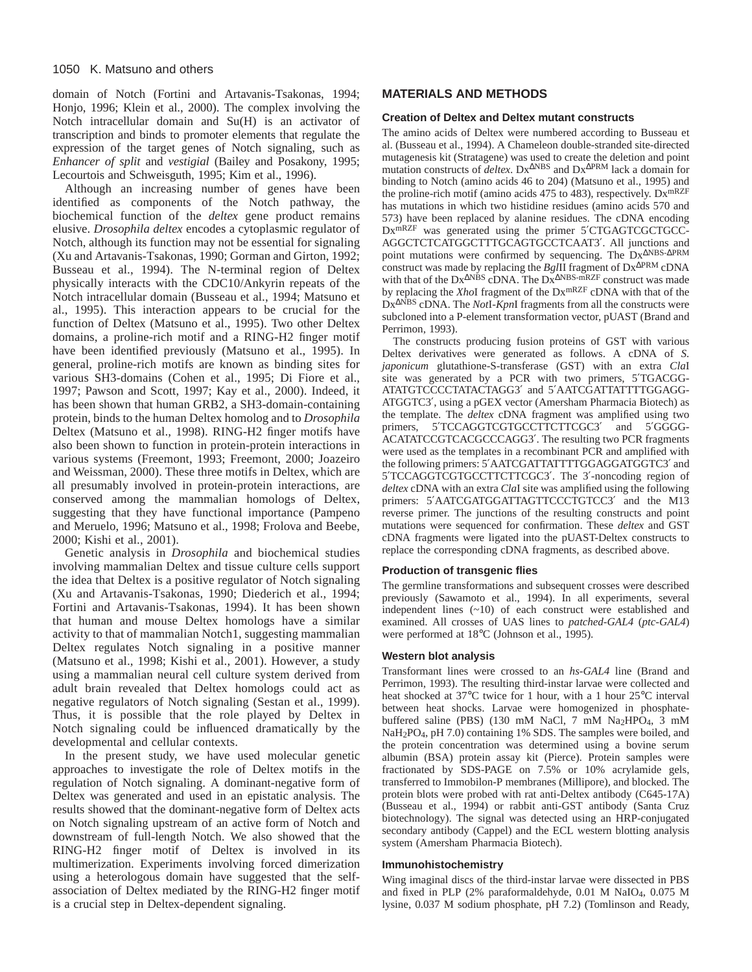domain of Notch (Fortini and Artavanis-Tsakonas, 1994; Honjo, 1996; Klein et al., 2000). The complex involving the Notch intracellular domain and Su(H) is an activator of transcription and binds to promoter elements that regulate the expression of the target genes of Notch signaling, such as *Enhancer of split* and *vestigial* (Bailey and Posakony, 1995; Lecourtois and Schweisguth, 1995; Kim et al., 1996).

Although an increasing number of genes have been identified as components of the Notch pathway, the biochemical function of the *deltex* gene product remains elusive. *Drosophila deltex* encodes a cytoplasmic regulator of Notch, although its function may not be essential for signaling (Xu and Artavanis-Tsakonas, 1990; Gorman and Girton, 1992; Busseau et al., 1994). The N-terminal region of Deltex physically interacts with the CDC10/Ankyrin repeats of the Notch intracellular domain (Busseau et al., 1994; Matsuno et al., 1995). This interaction appears to be crucial for the function of Deltex (Matsuno et al., 1995). Two other Deltex domains, a proline-rich motif and a RING-H2 finger motif have been identified previously (Matsuno et al., 1995). In general, proline-rich motifs are known as binding sites for various SH3-domains (Cohen et al., 1995; Di Fiore et al., 1997; Pawson and Scott, 1997; Kay et al., 2000). Indeed, it has been shown that human GRB2, a SH3-domain-containing protein, binds to the human Deltex homolog and to *Drosophila* Deltex (Matsuno et al., 1998). RING-H2 finger motifs have also been shown to function in protein-protein interactions in various systems (Freemont, 1993; Freemont, 2000; Joazeiro and Weissman, 2000). These three motifs in Deltex, which are all presumably involved in protein-protein interactions, are conserved among the mammalian homologs of Deltex, suggesting that they have functional importance (Pampeno and Meruelo, 1996; Matsuno et al., 1998; Frolova and Beebe, 2000; Kishi et al., 2001).

Genetic analysis in *Drosophila* and biochemical studies involving mammalian Deltex and tissue culture cells support the idea that Deltex is a positive regulator of Notch signaling (Xu and Artavanis-Tsakonas, 1990; Diederich et al., 1994; Fortini and Artavanis-Tsakonas, 1994). It has been shown that human and mouse Deltex homologs have a similar activity to that of mammalian Notch1, suggesting mammalian Deltex regulates Notch signaling in a positive manner (Matsuno et al., 1998; Kishi et al., 2001). However, a study using a mammalian neural cell culture system derived from adult brain revealed that Deltex homologs could act as negative regulators of Notch signaling (Sestan et al., 1999). Thus, it is possible that the role played by Deltex in Notch signaling could be influenced dramatically by the developmental and cellular contexts.

In the present study, we have used molecular genetic approaches to investigate the role of Deltex motifs in the regulation of Notch signaling. A dominant-negative form of Deltex was generated and used in an epistatic analysis. The results showed that the dominant-negative form of Deltex acts on Notch signaling upstream of an active form of Notch and downstream of full-length Notch. We also showed that the RING-H2 finger motif of Deltex is involved in its multimerization. Experiments involving forced dimerization using a heterologous domain have suggested that the selfassociation of Deltex mediated by the RING-H2 finger motif is a crucial step in Deltex-dependent signaling.

# **MATERIALS AND METHODS**

#### **Creation of Deltex and Deltex mutant constructs**

The amino acids of Deltex were numbered according to Busseau et al. (Busseau et al., 1994). A Chameleon double-stranded site-directed mutagenesis kit (Stratagene) was used to create the deletion and point mutation constructs of *deltex*. Dx∆NBS and Dx∆PRM lack a domain for binding to Notch (amino acids 46 to 204) (Matsuno et al., 1995) and the proline-rich motif (amino acids 475 to 483), respectively. Dx<sup>mRZF</sup> has mutations in which two histidine residues (amino acids 570 and 573) have been replaced by alanine residues. The cDNA encoding Dx<sup>mRZF</sup> was generated using the primer 5'CTGAGTCGCTGCC-AGGCTCTCATGGCTTTGCAGTGCCTCAAT3′. All junctions and point mutations were confirmed by sequencing. The Dx∆NBS-∆PRM construct was made by replacing the *Bgl*II fragment of Dx∆PRM cDNA with that of the Dx<sup>∆NBS</sup> cDNA. The Dx<sup>∆NBS-mRZF</sup> construct was made by replacing the *Xho*I fragment of the DxmRZF cDNA with that of the Dx∆NBS cDNA. The *Not*I-*Kpn*I fragments from all the constructs were subcloned into a P-element transformation vector, pUAST (Brand and Perrimon, 1993).

The constructs producing fusion proteins of GST with various Deltex derivatives were generated as follows. A cDNA of *S. japonicum* glutathione-S-transferase (GST) with an extra *Cla*I site was generated by a PCR with two primers, 5′TGACGG-ATATGTCCCCTATACTAGG3′ and 5′AATCGATTATTTTGGAGG-ATGGTC3′, using a pGEX vector (Amersham Pharmacia Biotech) as the template. The *deltex* cDNA fragment was amplified using two primers, 5'TCCAGGTCGTGCCTTCTTCGC3' and 5'GGGG-ACATATCCGTCACGCCCAGG3′. The resulting two PCR fragments were used as the templates in a recombinant PCR and amplified with the following primers: 5′AATCGATTATTTTGGAGGATGGTC3′ and 5′TCCAGGTCGTGCCTTCTTCGC3′. The 3′-noncoding region of *deltex* cDNA with an extra *Cla*I site was amplified using the following primers: 5′AATCGATGGATTAGTTCCCTGTCC3′ and the M13 reverse primer. The junctions of the resulting constructs and point mutations were sequenced for confirmation. These *deltex* and GST cDNA fragments were ligated into the pUAST-Deltex constructs to replace the corresponding cDNA fragments, as described above.

#### **Production of transgenic flies**

The germline transformations and subsequent crosses were described previously (Sawamoto et al., 1994). In all experiments, several independent lines (~10) of each construct were established and examined. All crosses of UAS lines to *patched-GAL4* (*ptc*-*GAL4*) were performed at 18°C (Johnson et al., 1995).

#### **Western blot analysis**

Transformant lines were crossed to an *hs-GAL4* line (Brand and Perrimon, 1993). The resulting third-instar larvae were collected and heat shocked at 37°C twice for 1 hour, with a 1 hour 25°C interval between heat shocks. Larvae were homogenized in phosphatebuffered saline (PBS) (130 mM NaCl, 7 mM Na2HPO<sub>4</sub>, 3 mM NaH2PO4, pH 7.0) containing 1% SDS. The samples were boiled, and the protein concentration was determined using a bovine serum albumin (BSA) protein assay kit (Pierce). Protein samples were fractionated by SDS-PAGE on 7.5% or 10% acrylamide gels, transferred to Immobilon-P membranes (Millipore), and blocked. The protein blots were probed with rat anti-Deltex antibody (C645-17A) (Busseau et al., 1994) or rabbit anti-GST antibody (Santa Cruz biotechnology). The signal was detected using an HRP-conjugated secondary antibody (Cappel) and the ECL western blotting analysis system (Amersham Pharmacia Biotech).

#### **Immunohistochemistry**

Wing imaginal discs of the third-instar larvae were dissected in PBS and fixed in PLP (2% paraformaldehyde, 0.01 M NaIO4, 0.075 M lysine, 0.037 M sodium phosphate, pH 7.2) (Tomlinson and Ready,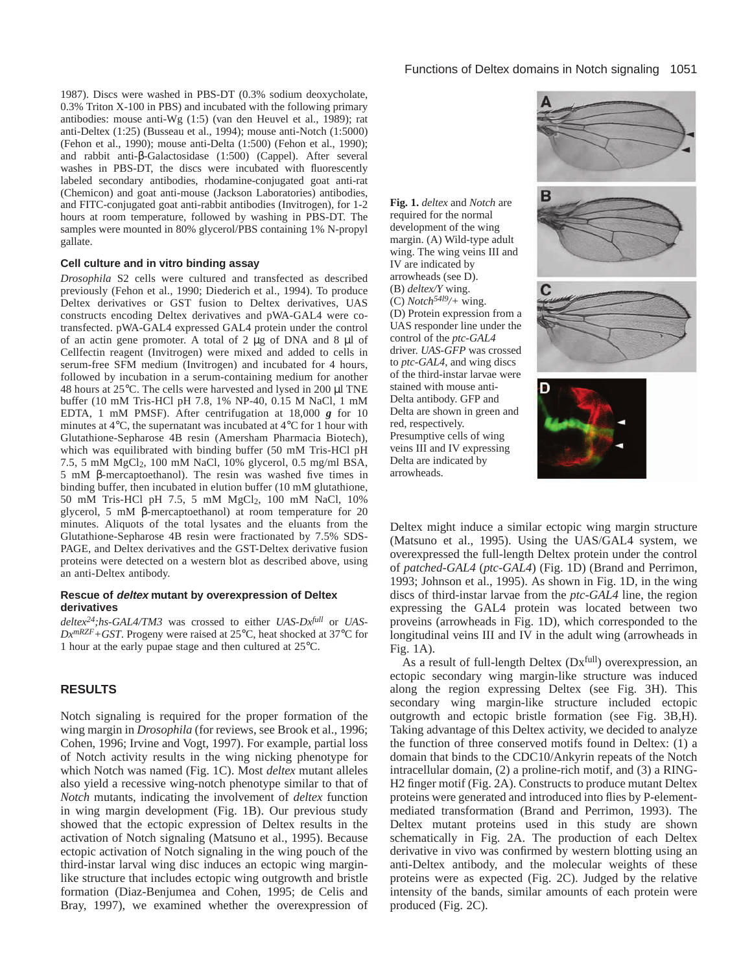1987). Discs were washed in PBS-DT (0.3% sodium deoxycholate, 0.3% Triton X-100 in PBS) and incubated with the following primary antibodies: mouse anti-Wg (1:5) (van den Heuvel et al., 1989); rat anti-Deltex (1:25) (Busseau et al., 1994); mouse anti-Notch (1:5000) (Fehon et al., 1990); mouse anti-Delta (1:500) (Fehon et al., 1990); and rabbit anti-β-Galactosidase (1:500) (Cappel). After several washes in PBS-DT, the discs were incubated with fluorescently labeled secondary antibodies, rhodamine-conjugated goat anti-rat (Chemicon) and goat anti-mouse (Jackson Laboratories) antibodies, and FITC-conjugated goat anti-rabbit antibodies (Invitrogen), for 1-2 hours at room temperature, followed by washing in PBS-DT. The samples were mounted in 80% glycerol/PBS containing 1% N-propyl gallate.

#### **Cell culture and in vitro binding assay**

*Drosophila* S2 cells were cultured and transfected as described previously (Fehon et al., 1990; Diederich et al., 1994). To produce Deltex derivatives or GST fusion to Deltex derivatives, UAS constructs encoding Deltex derivatives and pWA-GAL4 were cotransfected. pWA-GAL4 expressed GAL4 protein under the control of an actin gene promoter. A total of 2 µg of DNA and 8 µl of Cellfectin reagent (Invitrogen) were mixed and added to cells in serum-free SFM medium (Invitrogen) and incubated for 4 hours, followed by incubation in a serum-containing medium for another 48 hours at  $25^{\circ}$ C. The cells were harvested and lysed in 200 µl TNE buffer (10 mM Tris-HCl pH 7.8, 1% NP-40, 0.15 M NaCl, 1 mM EDTA, 1 mM PMSF). After centrifugation at 18,000 *g* for 10 minutes at 4°C, the supernatant was incubated at 4°C for 1 hour with Glutathione-Sepharose 4B resin (Amersham Pharmacia Biotech), which was equilibrated with binding buffer (50 mM Tris-HCl pH 7.5, 5 mM MgCl2, 100 mM NaCl, 10% glycerol, 0.5 mg/ml BSA, 5 mM β-mercaptoethanol). The resin was washed five times in binding buffer, then incubated in elution buffer (10 mM glutathione, 50 mM Tris-HCl pH 7.5, 5 mM MgCl2, 100 mM NaCl, 10% glycerol, 5 mM β-mercaptoethanol) at room temperature for 20 minutes. Aliquots of the total lysates and the eluants from the Glutathione-Sepharose 4B resin were fractionated by 7.5% SDS-PAGE, and Deltex derivatives and the GST-Deltex derivative fusion proteins were detected on a western blot as described above, using an anti-Deltex antibody.

#### **Rescue of deltex mutant by overexpression of Deltex derivatives**

*deltex24;hs-GAL4/TM3* was crossed to either *UAS-Dxfull* or *UAS-DxmRZF+GST*. Progeny were raised at 25°C, heat shocked at 37°C for 1 hour at the early pupae stage and then cultured at 25°C.

## **RESULTS**

Notch signaling is required for the proper formation of the wing margin in *Drosophila* (for reviews, see Brook et al., 1996; Cohen, 1996; Irvine and Vogt, 1997). For example, partial loss of Notch activity results in the wing nicking phenotype for which Notch was named (Fig. 1C). Most *deltex* mutant alleles also yield a recessive wing-notch phenotype similar to that of *Notch* mutants, indicating the involvement of *deltex* function in wing margin development (Fig. 1B). Our previous study showed that the ectopic expression of Deltex results in the activation of Notch signaling (Matsuno et al., 1995). Because ectopic activation of Notch signaling in the wing pouch of the third-instar larval wing disc induces an ectopic wing marginlike structure that includes ectopic wing outgrowth and bristle formation (Diaz-Benjumea and Cohen, 1995; de Celis and Bray, 1997), we examined whether the overexpression of IV are indicated by arrowheads (see D). (B) *deltex/Y* wing.

red, respectively.

arrowheads.

**Fig. 1.** *deltex* and *Notch* are required for the normal development of the wing margin. (A) Wild-type adult wing. The wing veins III and (C) *Notch54l9/+* wing. (D) Protein expression from a UAS responder line under the control of the *ptc*-*GAL4* driver. *UAS-GFP* was crossed to *ptc-GAL4*, and wing discs of the third-instar larvae were stained with mouse anti-Delta antibody. GFP and Delta are shown in green and Presumptive cells of wing veins III and IV expressing Delta are indicated by

Deltex might induce a similar ectopic wing margin structure (Matsuno et al., 1995). Using the UAS/GAL4 system, we overexpressed the full-length Deltex protein under the control of *patched*-*GAL4* (*ptc*-*GAL4*) (Fig. 1D) (Brand and Perrimon, 1993; Johnson et al., 1995). As shown in Fig. 1D, in the wing discs of third-instar larvae from the *ptc-GAL4* line, the region expressing the GAL4 protein was located between two proveins (arrowheads in Fig. 1D), which corresponded to the longitudinal veins III and IV in the adult wing (arrowheads in Fig. 1A).

As a result of full-length Deltex (Dx<sup>full</sup>) overexpression, an ectopic secondary wing margin-like structure was induced along the region expressing Deltex (see Fig. 3H). This secondary wing margin-like structure included ectopic outgrowth and ectopic bristle formation (see Fig. 3B,H). Taking advantage of this Deltex activity, we decided to analyze the function of three conserved motifs found in Deltex: (1) a domain that binds to the CDC10/Ankyrin repeats of the Notch intracellular domain, (2) a proline-rich motif, and (3) a RING-H2 finger motif (Fig. 2A). Constructs to produce mutant Deltex proteins were generated and introduced into flies by P-elementmediated transformation (Brand and Perrimon, 1993). The Deltex mutant proteins used in this study are shown schematically in Fig. 2A. The production of each Deltex derivative in vivo was confirmed by western blotting using an anti-Deltex antibody, and the molecular weights of these proteins were as expected (Fig. 2C). Judged by the relative intensity of the bands, similar amounts of each protein were produced (Fig. 2C).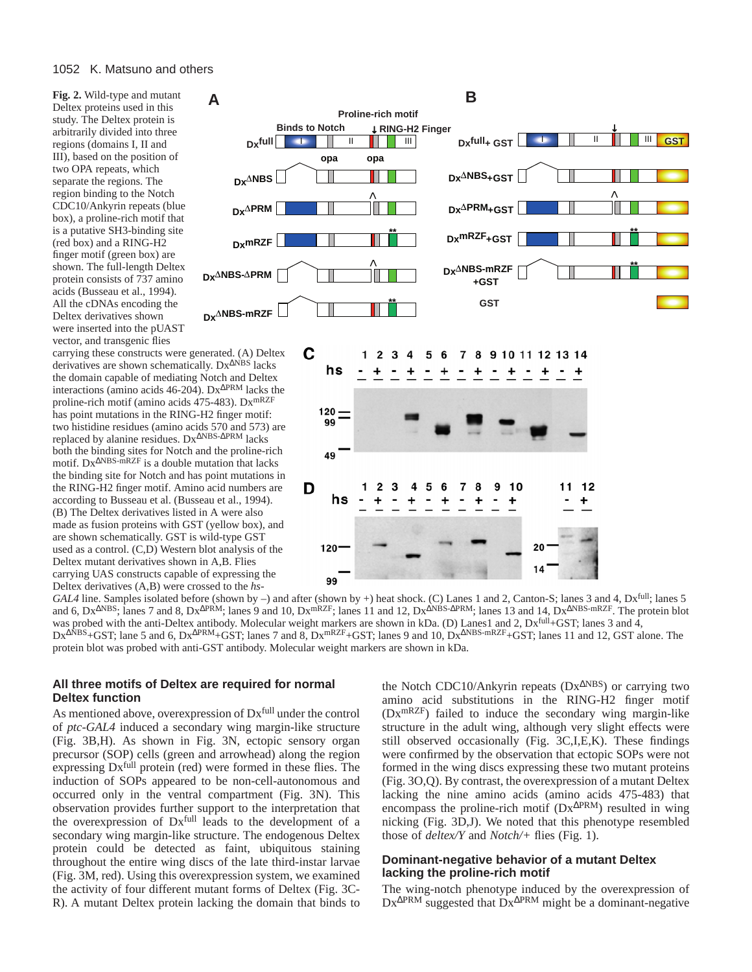**Fig. 2.** Wild-type and mutant Deltex proteins used in this study. The Deltex protein is arbitrarily divided into three regions (domains I, II and III), based on the position of two OPA repeats, which separate the regions. The region binding to the Notch CDC10/Ankyrin repeats (blue box), a proline-rich motif that is a putative SH3-binding site (red box) and a RING-H2 finger motif (green box) are shown. The full-length Deltex protein consists of 737 amino acids (Busseau et al., 1994). All the cDNAs encoding the Deltex derivatives shown were inserted into the pUAST vector, and transgenic flies

carrying these constructs were generated. (A) Deltex derivatives are shown schematically. Dx<sup>∆NBS</sup> lacks the domain capable of mediating Notch and Deltex interactions (amino acids 46-204). Dx∆PRM lacks the proline-rich motif (amino acids 475-483). DxmRZF has point mutations in the RING-H2 finger motif: two histidine residues (amino acids 570 and 573) are replaced by alanine residues. Dx∆NBS-∆PRM lacks both the binding sites for Notch and the proline-rich motif. Dx∆NBS-mRZF is a double mutation that lacks the binding site for Notch and has point mutations in the RING-H2 finger motif. Amino acid numbers are according to Busseau et al. (Busseau et al., 1994). (B) The Deltex derivatives listed in A were also made as fusion proteins with GST (yellow box), and are shown schematically. GST is wild-type GST used as a control. (C,D) Western blot analysis of the Deltex mutant derivatives shown in A,B. Flies carrying UAS constructs capable of expressing the Deltex derivatives (A,B) were crossed to the *hs-*





*GAL4* line. Samples isolated before (shown by –) and after (shown by +) heat shock. (C) Lanes 1 and 2, Canton-S; lanes 3 and 4, Dxfull; lanes 5 and 6, Dx<sup>∆NBS</sup>; lanes 7 and 8, Dx<sup>∆PRM</sup>; lanes 9 and 10, Dx<sup>mRZF</sup>; lanes 11 and 12, Dx<sup>∆NBS-∆PRM</sup>; lanes 13 and 14, Dx<sup>∆NBS-mRZF</sup>. The protein blot was probed with the anti-Deltex antibody. Molecular weight markers are shown in kDa. (D) Lanes1 and 2,  $Dx$ <sup>full</sup>+GST; lanes 3 and 4, Dx<sup>∆NBS</sup>+GST; lane 5 and 6, Dx<sup>∆PRM</sup>+GST; lanes 7 and 8, Dx<sup>mRZF</sup>+GST; lanes 9 and 10, Dx<sup>∆NBS-mRZF</sup>+GST; lanes 11 and 12, GST alone. The protein blot was probed with anti-GST antibody. Molecular weight markers are shown in kDa.

## **All three motifs of Deltex are required for normal Deltex function**

As mentioned above, overexpression of Dxfull under the control of *ptc*-*GAL4* induced a secondary wing margin-like structure (Fig. 3B,H). As shown in Fig. 3N, ectopic sensory organ precursor (SOP) cells (green and arrowhead) along the region expressing  $Dx$ <sup>full</sup> protein (red) were formed in these flies. The induction of SOPs appeared to be non-cell-autonomous and occurred only in the ventral compartment (Fig. 3N). This observation provides further support to the interpretation that the overexpression of Dxfull leads to the development of a secondary wing margin-like structure. The endogenous Deltex protein could be detected as faint, ubiquitous staining throughout the entire wing discs of the late third-instar larvae (Fig. 3M, red). Using this overexpression system, we examined the activity of four different mutant forms of Deltex (Fig. 3C-R). A mutant Deltex protein lacking the domain that binds to

the Notch CDC10/Ankyrin repeats (Dx<sup>∆</sup>NBS) or carrying two amino acid substitutions in the RING-H2 finger motif  $(Dx^{mRZF})$  failed to induce the secondary wing margin-like structure in the adult wing, although very slight effects were still observed occasionally (Fig. 3C,I,E,K). These findings were confirmed by the observation that ectopic SOPs were not formed in the wing discs expressing these two mutant proteins (Fig. 3O,Q). By contrast, the overexpression of a mutant Deltex lacking the nine amino acids (amino acids 475-483) that encompass the proline-rich motif (Dx<sup>∆</sup>PRM) resulted in wing nicking (Fig. 3D,J). We noted that this phenotype resembled those of *deltex/Y* and *Notch/+* flies (Fig. 1).

# **Dominant-negative behavior of a mutant Deltex lacking the proline-rich motif**

The wing-notch phenotype induced by the overexpression of Dx∆PRM suggested that Dx∆PRM might be a dominant-negative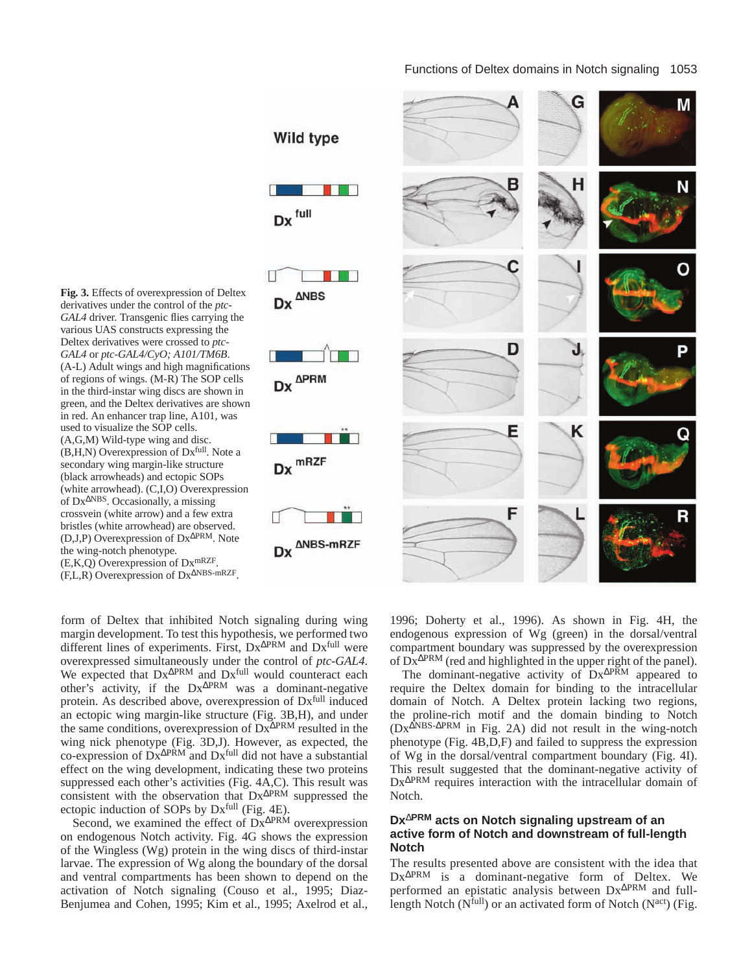**Fig. 3.** Effects of overexpression of Deltex derivatives under the control of the *ptc*-*GAL4* driver. Transgenic flies carrying the various UAS constructs expressing the Deltex derivatives were crossed to *ptc-GAL4* or *ptc-GAL4/CyO; A101/TM6B*. (A-L) Adult wings and high magnifications of regions of wings. (M-R) The SOP cells in the third-instar wing discs are shown in green, and the Deltex derivatives are shown in red. An enhancer trap line, A101, was used to visualize the SOP cells. (A,G,M) Wild-type wing and disc. (B,H,N) Overexpression of Dxfull. Note a secondary wing margin-like structure (black arrowheads) and ectopic SOPs (white arrowhead). (C,I,O) Overexpression of Dx<sup>∆</sup>NBS. Occasionally, a missing crossvein (white arrow) and a few extra bristles (white arrowhead) are observed. (D,J,P) Overexpression of Dx<sup>∆</sup>PRM. Note the wing-notch phenotype. (E,K,Q) Overexpression of DxmRZF. (F,L,R) Overexpression of Dx<sup>∆</sup>NBS-mRZF.



form of Deltex that inhibited Notch signaling during wing margin development. To test this hypothesis, we performed two different lines of experiments. First, Dx∆PRM and Dxfull were overexpressed simultaneously under the control of *ptc*-*GAL4*. We expected that Dx<sup>∆PRM</sup> and Dx<sup>full</sup> would counteract each other's activity, if the Dx∆PRM was a dominant-negative protein. As described above, overexpression of Dxfull induced an ectopic wing margin-like structure (Fig. 3B,H), and under the same conditions, overexpression of Dx∆PRM resulted in the wing nick phenotype (Fig. 3D,J). However, as expected, the co-expression of  $\overline{D}x^{\Delta PRM}$  and  $Dx^{full}$  did not have a substantial effect on the wing development, indicating these two proteins suppressed each other's activities (Fig. 4A,C). This result was consistent with the observation that Dx<sup>∆PRM</sup> suppressed the ectopic induction of SOPs by Dx<sup>full</sup> (Fig. 4E).

Second, we examined the effect of Dx<sup>∆PRM</sup> overexpression on endogenous Notch activity. Fig. 4G shows the expression of the Wingless (Wg) protein in the wing discs of third-instar larvae. The expression of Wg along the boundary of the dorsal and ventral compartments has been shown to depend on the activation of Notch signaling (Couso et al., 1995; Diaz-Benjumea and Cohen, 1995; Kim et al., 1995; Axelrod et al.,

1996; Doherty et al., 1996). As shown in Fig. 4H, the endogenous expression of Wg (green) in the dorsal/ventral compartment boundary was suppressed by the overexpression of Dx∆PRM (red and highlighted in the upper right of the panel).

The dominant-negative activity of Dx<sup>∆PRM</sup> appeared to require the Deltex domain for binding to the intracellular domain of Notch. A Deltex protein lacking two regions, the proline-rich motif and the domain binding to Notch (Dx∆NBS-∆PRM in Fig. 2A) did not result in the wing-notch phenotype (Fig. 4B,D,F) and failed to suppress the expression of Wg in the dorsal/ventral compartment boundary (Fig. 4I). This result suggested that the dominant-negative activity of Dx∆PRM requires interaction with the intracellular domain of Notch.

## **Dx**∆**PRM acts on Notch signaling upstream of an active form of Notch and downstream of full-length Notch**

The results presented above are consistent with the idea that Dx∆PRM is a dominant-negative form of Deltex. We performed an epistatic analysis between Dx∆PRM and fulllength Notch ( $N$ full) or an activated form of Notch ( $N^{act}$ ) (Fig.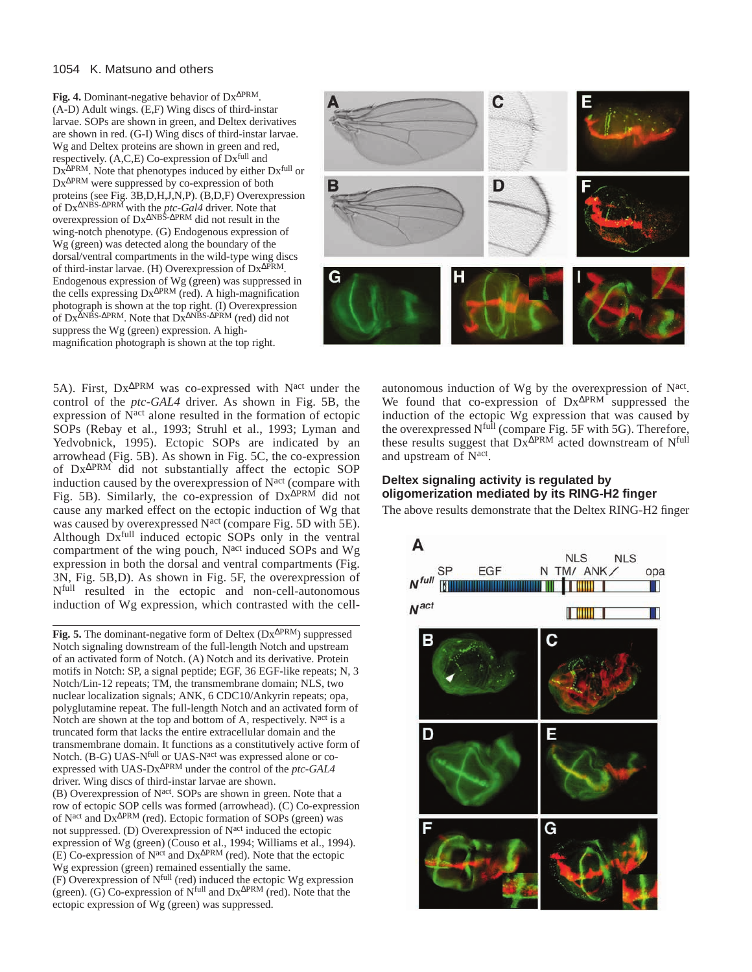## 1054 K. Matsuno and others

**Fig. 4.** Dominant-negative behavior of Dx<sup>∆</sup>PRM. (A-D) Adult wings. (E,F) Wing discs of third-instar larvae. SOPs are shown in green, and Deltex derivatives are shown in red. (G-I) Wing discs of third-instar larvae. Wg and Deltex proteins are shown in green and red, respectively.  $(A, C, E)$  Co-expression of  $Dx$ <sup>full</sup> and Dx<sup>∆PRM</sup>. Note that phenotypes induced by either Dx<sup>full</sup> or Dx∆PRM were suppressed by co-expression of both proteins (see Fig. 3B,D,H,J,N,P). (B,D,F) Overexpression of Dx∆NBS-∆PRM with the *ptc-Gal4* driver. Note that overexpression of Dx∆NBS-∆PRM did not result in the wing-notch phenotype. (G) Endogenous expression of Wg (green) was detected along the boundary of the dorsal/ventral compartments in the wild-type wing discs of third-instar larvae. (H) Overexpression of Dx<sup>∆</sup>PRM. Endogenous expression of Wg (green) was suppressed in the cells expressing Dx∆PRM (red). A high-magnification photograph is shown at the top right. (I) Overexpression of Dx∆NBS-∆PRM. Note that Dx∆NBS-∆PRM (red) did not suppress the Wg (green) expression. A highmagnification photograph is shown at the top right.



5A). First, Dx<sup>∆PRM</sup> was co-expressed with N<sup>act</sup> under the control of the *ptc-GAL4* driver. As shown in Fig. 5B, the expression of N<sup>act</sup> alone resulted in the formation of ectopic SOPs (Rebay et al., 1993; Struhl et al., 1993; Lyman and Yedvobnick, 1995). Ectopic SOPs are indicated by an arrowhead (Fig. 5B). As shown in Fig. 5C, the co-expression of Dx∆PRM did not substantially affect the ectopic SOP induction caused by the overexpression of N<sup>act</sup> (compare with Fig. 5B). Similarly, the co-expression of Dx∆PRM did not cause any marked effect on the ectopic induction of Wg that was caused by overexpressed N<sup>act</sup> (compare Fig. 5D with 5E). Although Dxfull induced ectopic SOPs only in the ventral compartment of the wing pouch, N<sup>act</sup> induced SOPs and Wg expression in both the dorsal and ventral compartments (Fig. 3N, Fig. 5B,D). As shown in Fig. 5F, the overexpression of Nfull resulted in the ectopic and non-cell-autonomous induction of Wg expression, which contrasted with the cell-

**Fig. 5.** The dominant-negative form of Deltex (Dx<sup>∆</sup>PRM) suppressed Notch signaling downstream of the full-length Notch and upstream of an activated form of Notch. (A) Notch and its derivative. Protein motifs in Notch: SP, a signal peptide; EGF, 36 EGF-like repeats; N, 3 Notch/Lin-12 repeats; TM, the transmembrane domain; NLS, two nuclear localization signals; ANK, 6 CDC10/Ankyrin repeats; opa, polyglutamine repeat. The full-length Notch and an activated form of Notch are shown at the top and bottom of A, respectively. N<sup>act</sup> is a truncated form that lacks the entire extracellular domain and the transmembrane domain. It functions as a constitutively active form of Notch. (B-G) UAS-N<sup>full</sup> or UAS-N<sup>act</sup> was expressed alone or coexpressed with UAS-Dx∆PRM under the control of the *ptc*-*GAL4* driver. Wing discs of third-instar larvae are shown. (B) Overexpression of Nact. SOPs are shown in green. Note that a row of ectopic SOP cells was formed (arrowhead). (C) Co-expression of Nact and Dx∆PRM (red). Ectopic formation of SOPs (green) was not suppressed. (D) Overexpression of N<sup>act</sup> induced the ectopic expression of Wg (green) (Couso et al., 1994; Williams et al., 1994). (E) Co-expression of Nact and Dx∆PRM (red). Note that the ectopic Wg expression (green) remained essentially the same.  $(F)$  Overexpression of  $N^{\text{full}}$  (red) induced the ectopic Wg expression (green). (G) Co-expression of Nfull and Dx∆PRM (red). Note that the ectopic expression of Wg (green) was suppressed.

autonomous induction of Wg by the overexpression of Nact. We found that co-expression of Dx<sup>∆PRM</sup> suppressed the induction of the ectopic Wg expression that was caused by the overexpressed Nfull (compare Fig. 5F with 5G). Therefore, these results suggest that Dx<sup>∆PRM</sup> acted downstream of N<sup>full</sup> and upstream of Nact.

# **Deltex signaling activity is regulated by oligomerization mediated by its RING-H2 finger**

The above results demonstrate that the Deltex RING-H2 finger

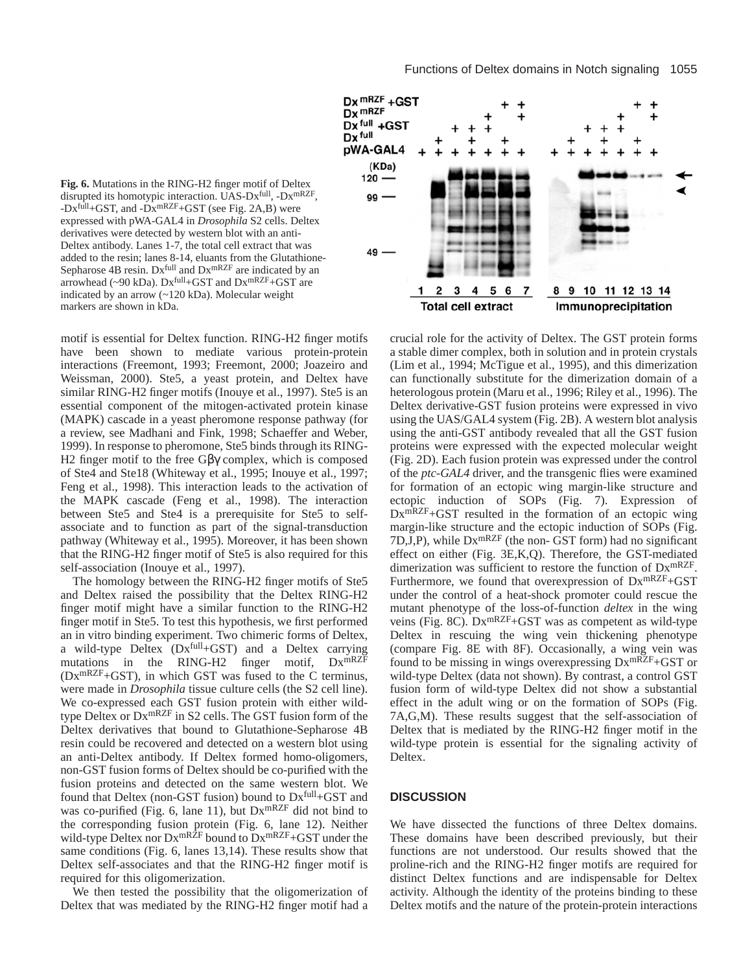

**Fig. 6.** Mutations in the RING-H2 finger motif of Deltex disrupted its homotypic interaction. UAS-Dxfull, -DxmRZF,  $-Dx$ <sup>full</sup>+GST, and  $-Dx$ <sup>mRZF</sup>+GST (see Fig. 2A,B) were expressed with pWA-GAL4 in *Drosophila* S2 cells. Deltex derivatives were detected by western blot with an anti-Deltex antibody. Lanes 1-7, the total cell extract that was added to the resin; lanes 8-14, eluants from the Glutathione-Sepharose 4B resin. Dx<sup>full</sup> and Dx<sup>mRZF</sup> are indicated by an arrowhead (~90 kDa).  $Dx^{full}$ +GST and  $Dx^{mRZF}$ +GST are indicated by an arrow (~120 kDa). Molecular weight markers are shown in kDa.

motif is essential for Deltex function. RING-H2 finger motifs have been shown to mediate various protein-protein interactions (Freemont, 1993; Freemont, 2000; Joazeiro and Weissman, 2000). Ste5, a yeast protein, and Deltex have similar RING-H2 finger motifs (Inouye et al., 1997). Ste5 is an essential component of the mitogen-activated protein kinase (MAPK) cascade in a yeast pheromone response pathway (for a review, see Madhani and Fink, 1998; Schaeffer and Weber, 1999). In response to pheromone, Ste5 binds through its RING-H2 finger motif to the free Gβγ complex, which is composed of Ste4 and Ste18 (Whiteway et al., 1995; Inouye et al., 1997; Feng et al., 1998). This interaction leads to the activation of the MAPK cascade (Feng et al., 1998). The interaction between Ste5 and Ste4 is a prerequisite for Ste5 to selfassociate and to function as part of the signal-transduction pathway (Whiteway et al., 1995). Moreover, it has been shown that the RING-H2 finger motif of Ste5 is also required for this self-association (Inouye et al., 1997).

The homology between the RING-H2 finger motifs of Ste5 and Deltex raised the possibility that the Deltex RING-H2 finger motif might have a similar function to the RING-H2 finger motif in Ste5. To test this hypothesis, we first performed an in vitro binding experiment. Two chimeric forms of Deltex, a wild-type Deltex (Dxfull+GST) and a Deltex carrying mutations in the RING-H2 finger motif,  $Dx^{mRZF}$  $(Dx^{mRZF}+GST)$ , in which GST was fused to the C terminus, were made in *Drosophila* tissue culture cells (the S2 cell line). We co-expressed each GST fusion protein with either wildtype Deltex or DxmRZF in S2 cells. The GST fusion form of the Deltex derivatives that bound to Glutathione-Sepharose 4B resin could be recovered and detected on a western blot using an anti-Deltex antibody. If Deltex formed homo-oligomers, non-GST fusion forms of Deltex should be co-purified with the fusion proteins and detected on the same western blot. We found that Deltex (non-GST fusion) bound to  $Dx$ <sup>full</sup>+GST and was co-purified (Fig. 6, lane 11), but DxmRZF did not bind to the corresponding fusion protein (Fig. 6, lane 12). Neither wild-type Deltex nor  $Dx^{mR\tilde{Z}F}$  bound to  $Dx^{mR\tilde{Z}F}$ +GST under the same conditions (Fig. 6, lanes 13,14). These results show that Deltex self-associates and that the RING-H2 finger motif is required for this oligomerization.

We then tested the possibility that the oligomerization of Deltex that was mediated by the RING-H2 finger motif had a

crucial role for the activity of Deltex. The GST protein forms a stable dimer complex, both in solution and in protein crystals (Lim et al., 1994; McTigue et al., 1995), and this dimerization can functionally substitute for the dimerization domain of a heterologous protein (Maru et al., 1996; Riley et al., 1996). The Deltex derivative-GST fusion proteins were expressed in vivo using the UAS/GAL4 system (Fig. 2B). A western blot analysis using the anti-GST antibody revealed that all the GST fusion proteins were expressed with the expected molecular weight (Fig. 2D). Each fusion protein was expressed under the control of the *ptc-GAL4* driver, and the transgenic flies were examined for formation of an ectopic wing margin-like structure and ectopic induction of SOPs (Fig. 7). Expression of DxmRZF+GST resulted in the formation of an ectopic wing margin-like structure and the ectopic induction of SOPs (Fig.  $7D,J,P$ , while  $Dx^{mRZF}$  (the non-GST form) had no significant effect on either (Fig. 3E,K,Q). Therefore, the GST-mediated dimerization was sufficient to restore the function of DxmRZF. Furthermore, we found that overexpression of  $Dx^{mRZF}+GST$ under the control of a heat-shock promoter could rescue the mutant phenotype of the loss-of-function *deltex* in the wing veins (Fig. 8C).  $Dx^{mRZF}$ +GST was as competent as wild-type Deltex in rescuing the wing vein thickening phenotype (compare Fig. 8E with 8F). Occasionally, a wing vein was found to be missing in wings overexpressing  $Dx^{mRZF}+GST$  or wild-type Deltex (data not shown). By contrast, a control GST fusion form of wild-type Deltex did not show a substantial effect in the adult wing or on the formation of SOPs (Fig. 7A,G,M). These results suggest that the self-association of Deltex that is mediated by the RING-H2 finger motif in the wild-type protein is essential for the signaling activity of Deltex.

# **DISCUSSION**

We have dissected the functions of three Deltex domains. These domains have been described previously, but their functions are not understood. Our results showed that the proline-rich and the RING-H2 finger motifs are required for distinct Deltex functions and are indispensable for Deltex activity. Although the identity of the proteins binding to these Deltex motifs and the nature of the protein-protein interactions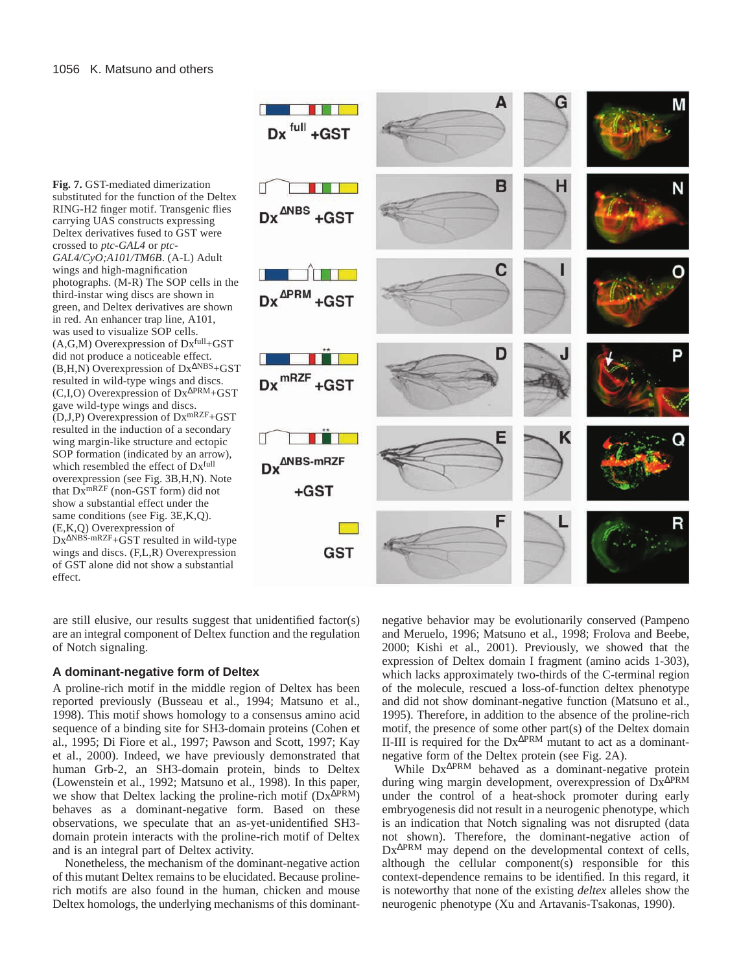**Fig. 7.** GST-mediated dimerization substituted for the function of the Deltex RING-H2 finger motif. Transgenic flies carrying UAS constructs expressing Deltex derivatives fused to GST were crossed to *ptc-GAL4* or *ptc-GAL4/CyO;A101/TM6B*. (A-L) Adult wings and high-magnification photographs. (M-R) The SOP cells in the third-instar wing discs are shown in green, and Deltex derivatives are shown in red. An enhancer trap line, A101, was used to visualize SOP cells.  $(A, G, M)$  Overexpression of  $Dx$ <sup>full</sup>+GST did not produce a noticeable effect. (B,H,N) Overexpression of Dx<sup>∆</sup>NBS+GST resulted in wild-type wings and discs. (C,I,O) Overexpression of Dx<sup>∆</sup>PRM+GST gave wild-type wings and discs. (D,J,P) Overexpression of DxmRZF+GST resulted in the induction of a secondary wing margin-like structure and ectopic SOP formation (indicated by an arrow), which resembled the effect of Dxfull overexpression (see Fig. 3B,H,N). Note that DxmRZF (non-GST form) did not show a substantial effect under the same conditions (see Fig. 3E,K,Q). (E,K,Q) Overexpression of  $Dx^{\Delta NBS-mRZF}$ + $\overrightarrow{GS}$ T resulted in wild-type wings and discs. (F,L,R) Overexpression of GST alone did not show a substantial effect.



are still elusive, our results suggest that unidentified factor(s) are an integral component of Deltex function and the regulation of Notch signaling.

## **A dominant-negative form of Deltex**

A proline-rich motif in the middle region of Deltex has been reported previously (Busseau et al., 1994; Matsuno et al., 1998). This motif shows homology to a consensus amino acid sequence of a binding site for SH3-domain proteins (Cohen et al., 1995; Di Fiore et al., 1997; Pawson and Scott, 1997; Kay et al., 2000). Indeed, we have previously demonstrated that human Grb-2, an SH3-domain protein, binds to Deltex (Lowenstein et al., 1992; Matsuno et al., 1998). In this paper, we show that Deltex lacking the proline-rich motif (Dx<sup>∆PRM</sup>) behaves as a dominant-negative form. Based on these observations, we speculate that an as-yet-unidentified SH3 domain protein interacts with the proline-rich motif of Deltex and is an integral part of Deltex activity.

Nonetheless, the mechanism of the dominant-negative action of this mutant Deltex remains to be elucidated. Because prolinerich motifs are also found in the human, chicken and mouse Deltex homologs, the underlying mechanisms of this dominant-

negative behavior may be evolutionarily conserved (Pampeno and Meruelo, 1996; Matsuno et al., 1998; Frolova and Beebe, 2000; Kishi et al., 2001). Previously, we showed that the expression of Deltex domain I fragment (amino acids 1-303), which lacks approximately two-thirds of the C-terminal region of the molecule, rescued a loss-of-function deltex phenotype and did not show dominant-negative function (Matsuno et al., 1995). Therefore, in addition to the absence of the proline-rich motif, the presence of some other part(s) of the Deltex domain II-III is required for the Dx∆PRM mutant to act as a dominantnegative form of the Deltex protein (see Fig. 2A).

While Dx∆PRM behaved as a dominant-negative protein during wing margin development, overexpression of Dx∆PRM under the control of a heat-shock promoter during early embryogenesis did not result in a neurogenic phenotype, which is an indication that Notch signaling was not disrupted (data not shown). Therefore, the dominant-negative action of Dx∆PRM may depend on the developmental context of cells, although the cellular component(s) responsible for this context-dependence remains to be identified. In this regard, it is noteworthy that none of the existing *deltex* alleles show the neurogenic phenotype (Xu and Artavanis-Tsakonas, 1990).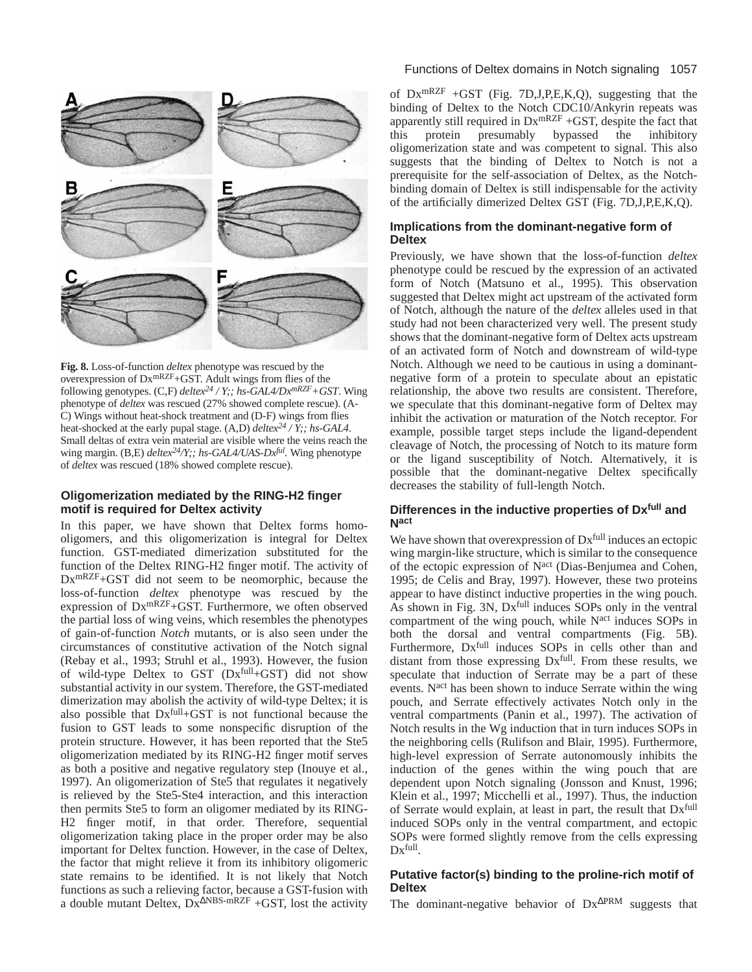

**Fig. 8.** Loss-of-function *deltex* phenotype was rescued by the overexpression of DxmRZF+GST. Adult wings from flies of the following genotypes. (C,F) *deltex24 / Y;; hs-GAL4/DxmRZF+GST*. Wing phenotype of *deltex* was rescued (27% showed complete rescue). (A-C) Wings without heat-shock treatment and (D-F) wings from flies heat-shocked at the early pupal stage. (A,D) *deltex24 / Y;; hs-GAL4*. Small deltas of extra vein material are visible where the veins reach the wing margin. (B,E)  $delta^{24}/Y$ ;; hs-GAL4/UAS-Dx<sup>ful</sup>. Wing phenotype of *deltex* was rescued (18% showed complete rescue).

## **Oligomerization mediated by the RING-H2 finger motif is required for Deltex activity**

In this paper, we have shown that Deltex forms homooligomers, and this oligomerization is integral for Deltex function. GST-mediated dimerization substituted for the function of the Deltex RING-H2 finger motif. The activity of DxmRZF+GST did not seem to be neomorphic, because the loss-of-function *deltex* phenotype was rescued by the expression of DxmRZF+GST. Furthermore, we often observed the partial loss of wing veins, which resembles the phenotypes of gain-of-function *Notch* mutants, or is also seen under the circumstances of constitutive activation of the Notch signal (Rebay et al., 1993; Struhl et al., 1993). However, the fusion of wild-type Deltex to GST (Dxfull+GST) did not show substantial activity in our system. Therefore, the GST-mediated dimerization may abolish the activity of wild-type Deltex; it is also possible that Dxfull+GST is not functional because the fusion to GST leads to some nonspecific disruption of the protein structure. However, it has been reported that the Ste5 oligomerization mediated by its RING-H2 finger motif serves as both a positive and negative regulatory step (Inouye et al., 1997). An oligomerization of Ste5 that regulates it negatively is relieved by the Ste5-Ste4 interaction, and this interaction then permits Ste5 to form an oligomer mediated by its RING-H2 finger motif, in that order. Therefore, sequential oligomerization taking place in the proper order may be also important for Deltex function. However, in the case of Deltex, the factor that might relieve it from its inhibitory oligomeric state remains to be identified. It is not likely that Notch functions as such a relieving factor, because a GST-fusion with a double mutant Deltex,  $Dx^{\triangle NBS-mRZF} + GST$ , lost the activity

# Functions of Deltex domains in Notch signaling 1057

of  $Dx^{mRZF}$  +GST (Fig. 7D, J, P, E, K, Q), suggesting that the binding of Deltex to the Notch CDC10/Ankyrin repeats was apparently still required in  $Dx^{mRZF} + GST$ , despite the fact that this protein presumably bypassed the inhibitory oligomerization state and was competent to signal. This also suggests that the binding of Deltex to Notch is not a prerequisite for the self-association of Deltex, as the Notchbinding domain of Deltex is still indispensable for the activity of the artificially dimerized Deltex GST (Fig. 7D,J,P,E,K,Q).

## **Implications from the dominant-negative form of Deltex**

Previously, we have shown that the loss-of-function *deltex* phenotype could be rescued by the expression of an activated form of Notch (Matsuno et al., 1995). This observation suggested that Deltex might act upstream of the activated form of Notch, although the nature of the *deltex* alleles used in that study had not been characterized very well. The present study shows that the dominant-negative form of Deltex acts upstream of an activated form of Notch and downstream of wild-type Notch. Although we need to be cautious in using a dominantnegative form of a protein to speculate about an epistatic relationship, the above two results are consistent. Therefore, we speculate that this dominant-negative form of Deltex may inhibit the activation or maturation of the Notch receptor. For example, possible target steps include the ligand-dependent cleavage of Notch, the processing of Notch to its mature form or the ligand susceptibility of Notch. Alternatively, it is possible that the dominant-negative Deltex specifically decreases the stability of full-length Notch.

# **Differences in the inductive properties of Dxfull and Nact**

We have shown that overexpression of  $Dx<sup>full</sup>$  induces an ectopic wing margin-like structure, which is similar to the consequence of the ectopic expression of Nact (Dias-Benjumea and Cohen, 1995; de Celis and Bray, 1997). However, these two proteins appear to have distinct inductive properties in the wing pouch. As shown in Fig. 3N, Dxfull induces SOPs only in the ventral compartment of the wing pouch, while Nact induces SOPs in both the dorsal and ventral compartments (Fig. 5B). Furthermore,  $Dx$ <sup>full</sup> induces SOPs in cells other than and distant from those expressing Dxfull. From these results, we speculate that induction of Serrate may be a part of these events. Nact has been shown to induce Serrate within the wing pouch, and Serrate effectively activates Notch only in the ventral compartments (Panin et al., 1997). The activation of Notch results in the Wg induction that in turn induces SOPs in the neighboring cells (Rulifson and Blair, 1995). Furthermore, high-level expression of Serrate autonomously inhibits the induction of the genes within the wing pouch that are dependent upon Notch signaling (Jonsson and Knust, 1996; Klein et al., 1997; Micchelli et al., 1997). Thus, the induction of Serrate would explain, at least in part, the result that Dxfull induced SOPs only in the ventral compartment, and ectopic SOPs were formed slightly remove from the cells expressing Dxfull.

# **Putative factor(s) binding to the proline-rich motif of Deltex**

The dominant-negative behavior of  $Dx^{\Delta PRM}$  suggests that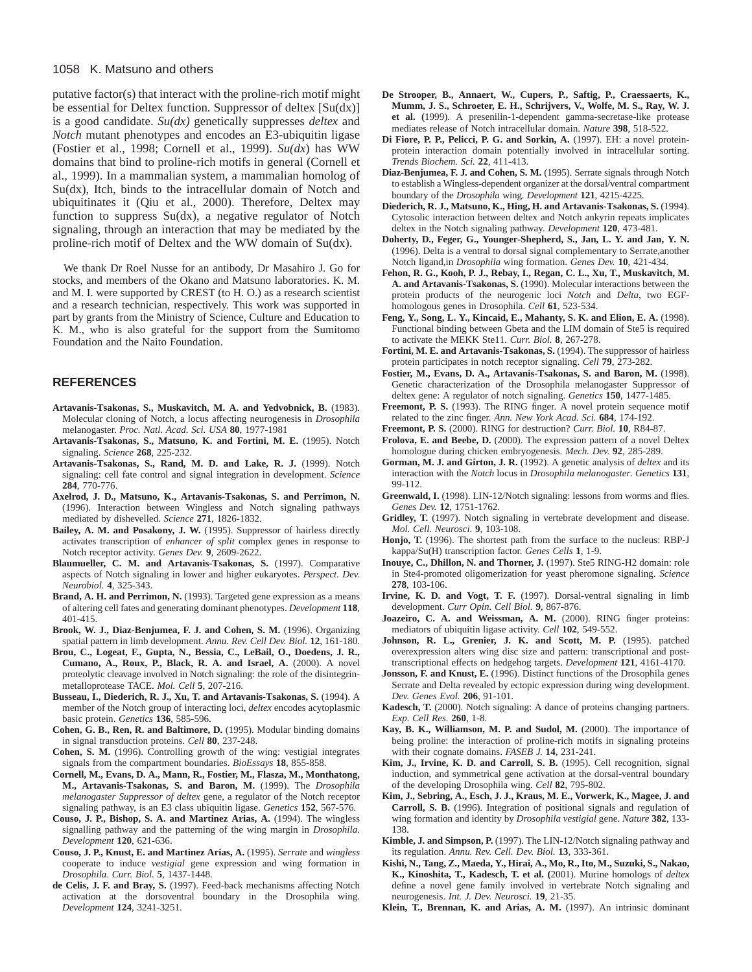#### 1058 K. Matsuno and others

putative factor(s) that interact with the proline-rich motif might be essential for Deltex function. Suppressor of deltex [Su(dx)] is a good candidate. *Su(dx)* genetically suppresses *deltex* and *Notch* mutant phenotypes and encodes an E3-ubiquitin ligase (Fostier et al., 1998; Cornell et al., 1999). *Su(dx*) has WW domains that bind to proline-rich motifs in general (Cornell et al., 1999). In a mammalian system, a mammalian homolog of Su(dx), Itch, binds to the intracellular domain of Notch and ubiquitinates it (Qiu et al., 2000). Therefore, Deltex may function to suppress Su(dx), a negative regulator of Notch signaling, through an interaction that may be mediated by the proline-rich motif of Deltex and the WW domain of Su(dx).

We thank Dr Roel Nusse for an antibody, Dr Masahiro J. Go for stocks, and members of the Okano and Matsuno laboratories. K. M. and M. I. were supported by CREST (to H. O.) as a research scientist and a research technician, respectively. This work was supported in part by grants from the Ministry of Science, Culture and Education to K. M., who is also grateful for the support from the Sumitomo Foundation and the Naito Foundation.

#### **REFERENCES**

- **Artavanis-Tsakonas, S., Muskavitch, M. A. and Yedvobnick, B.** (1983). Molecular cloning of Notch, a locus affecting neurogenesis in *Drosophila* melanogaster. *Proc. Natl. Acad. Sci. USA* **80**, 1977-1981
- **Artavanis-Tsakonas, S., Matsuno, K. and Fortini, M. E.** (1995). Notch signaling. *Science* **268**, 225-232.
- **Artavanis-Tsakonas, S., Rand, M. D. and Lake, R. J.** (1999). Notch signaling: cell fate control and signal integration in development. *Science* **284**, 770-776.
- **Axelrod, J. D., Matsuno, K., Artavanis-Tsakonas, S. and Perrimon, N.** (1996). Interaction between Wingless and Notch signaling pathways mediated by dishevelled. *Science* **271**, 1826-1832.
- **Bailey, A. M. and Posakony, J. W.** (1995). Suppressor of hairless directly activates transcription of *enhancer of split* complex genes in response to Notch receptor activity. *Genes Dev.* **9**, 2609-2622.
- **Blaumueller, C. M. and Artavanis-Tsakonas, S.** (1997). Comparative aspects of Notch signaling in lower and higher eukaryotes. *Perspect. Dev. Neurobiol.* **4**, 325-343.
- **Brand, A. H. and Perrimon, N.** (1993). Targeted gene expression as a means of altering cell fates and generating dominant phenotypes. *Development* **118**, 401-415.
- **Brook, W. J., Diaz-Benjumea, F. J. and Cohen, S. M.** (1996). Organizing spatial pattern in limb development. *Annu. Rev. Cell Dev. Biol.* **12**, 161-180.
- **Brou, C., Logeat, F., Gupta, N., Bessia, C., LeBail, O., Doedens, J. R., Cumano, A., Roux, P., Black, R. A. and Israel, A.** (2000). A novel proteolytic cleavage involved in Notch signaling: the role of the disintegrinmetalloprotease TACE. *Mol. Cell* **5**, 207-216.
- **Busseau, I., Diederich, R. J., Xu, T. and Artavanis-Tsakonas, S.** (1994). A member of the Notch group of interacting loci, *deltex* encodes acytoplasmic basic protein. *Genetics* **136**, 585-596.
- **Cohen, G. B., Ren, R. and Baltimore, D.** (1995). Modular binding domains in signal transduction proteins. *Cell* **80**, 237-248.
- **Cohen, S. M.** (1996). Controlling growth of the wing: vestigial integrates signals from the compartment boundaries. *BioEssays* **18**, 855-858.
- **Cornell, M., Evans, D. A., Mann, R., Fostier, M., Flasza, M., Monthatong, M., Artavanis-Tsakonas, S. and Baron, M.** (1999). The *Drosophila melanogaster Suppressor of deltex* gene, a regulator of the Notch receptor signaling pathway, is an E3 class ubiquitin ligase. *Genetics* **152**, 567-576.
- **Couso, J. P., Bishop, S. A. and Martinez Arias, A.** (1994). The wingless signalling pathway and the patterning of the wing margin in *Drosophila*. *Development* **120**, 621-636.
- **Couso, J. P., Knust, E. and Martinez Arias, A.** (1995). *Serrate* and *wingless* cooperate to induce *vestigial* gene expression and wing formation in *Drosophila*. *Curr. Biol.* **5**, 1437-1448.
- **de Celis, J. F. and Bray, S.** (1997). Feed-back mechanisms affecting Notch activation at the dorsoventral boundary in the Drosophila wing. *Development* **124**, 3241-3251.
- **De Strooper, B., Annaert, W., Cupers, P., Saftig, P., Craessaerts, K., Mumm, J. S., Schroeter, E. H., Schrijvers, V., Wolfe, M. S., Ray, W. J. et al. (**1999). A presenilin-1-dependent gamma-secretase-like protease mediates release of Notch intracellular domain. *Nature* **398**, 518-522.
- **Di Fiore, P. P., Pelicci, P. G. and Sorkin, A.** (1997). EH: a novel proteinprotein interaction domain potentially involved in intracellular sorting. *Trends Biochem. Sci.* **22**, 411-413.
- **Diaz-Benjumea, F. J. and Cohen, S. M.** (1995). Serrate signals through Notch to establish a Wingless-dependent organizer at the dorsal/ventral compartment boundary of the *Drosophila* wing. *Development* **121**, 4215-4225.
- **Diederich, R. J., Matsuno, K., Hing, H. and Artavanis-Tsakonas, S.** (1994). Cytosolic interaction between deltex and Notch ankyrin repeats implicates deltex in the Notch signaling pathway. *Development* **120**, 473-481.
- **Doherty, D., Feger, G., Younger-Shepherd, S., Jan, L. Y. and Jan, Y. N.** (1996). Delta is a ventral to dorsal signal complementary to Serrate,another Notch ligand,in *Drosophila* wing formation. *Genes Dev.* **10**, 421-434.
- **Fehon, R. G., Kooh, P. J., Rebay, I., Regan, C. L., Xu, T., Muskavitch, M. A. and Artavanis-Tsakonas, S.** (1990). Molecular interactions between the protein products of the neurogenic loci *Notch* and *Delta*, two EGFhomologous genes in Drosophila. *Cell* **61**, 523-534.
- **Feng, Y., Song, L. Y., Kincaid, E., Mahanty, S. K. and Elion, E. A.** (1998). Functional binding between Gbeta and the LIM domain of Ste5 is required to activate the MEKK Ste11. *Curr. Biol.* **8**, 267-278.
- **Fortini, M. E. and Artavanis-Tsakonas, S.** (1994). The suppressor of hairless protein participates in notch receptor signaling. *Cell* **79**, 273-282.
- **Fostier, M., Evans, D. A., Artavanis-Tsakonas, S. and Baron, M.** (1998). Genetic characterization of the Drosophila melanogaster Suppressor of deltex gene: A regulator of notch signaling. *Genetics* **150**, 1477-1485.
- **Freemont, P. S.** (1993). The RING finger. A novel protein sequence motif related to the zinc finger. *Ann. New York Acad. Sci.* **684**, 174-192.
- **Freemont, P. S.** (2000). RING for destruction? *Curr. Biol.* **10**, R84-87.
- **Frolova, E. and Beebe, D.** (2000). The expression pattern of a novel Deltex homologue during chicken embryogenesis. *Mech. Dev.* **92**, 285-289.
- **Gorman, M. J. and Girton, J. R.** (1992). A genetic analysis of *deltex* and its interaction with the *Notch* locus in *Drosophila melanogaster*. *Genetics* **131**, 99-112.
- **Greenwald, I.** (1998). LIN-12/Notch signaling: lessons from worms and flies. *Genes Dev.* **12**, 1751-1762.
- **Gridley, T.** (1997). Notch signaling in vertebrate development and disease. *Mol. Cell. Neurosci.* **9**, 103-108.
- **Honjo, T.** (1996). The shortest path from the surface to the nucleus: RBP-J kappa/Su(H) transcription factor. *Genes Cells* **1**, 1-9.
- **Inouye, C., Dhillon, N. and Thorner, J.** (1997). Ste5 RING-H2 domain: role in Ste4-promoted oligomerization for yeast pheromone signaling. *Science* **278**, 103-106.
- **Irvine, K. D. and Vogt, T. F.** (1997). Dorsal-ventral signaling in limb development. *Curr Opin. Cell Biol.* **9**, 867-876.
- **Joazeiro, C. A. and Weissman, A. M.** (2000). RING finger proteins: mediators of ubiquitin ligase activity. *Cell* **102**, 549-552.
- **Johnson, R. L., Grenier, J. K. and Scott, M. P.** (1995). patched overexpression alters wing disc size and pattern: transcriptional and posttranscriptional effects on hedgehog targets. *Development* **121**, 4161-4170.
- **Jonsson, F. and Knust, E.** (1996). Distinct functions of the Drosophila genes Serrate and Delta revealed by ectopic expression during wing development. *Dev. Genes Evol.* **206**, 91-101.
- **Kadesch, T.** (2000). Notch signaling: A dance of proteins changing partners. *Exp. Cell Res.* **260**, 1-8.
- **Kay, B. K., Williamson, M. P. and Sudol, M.** (2000). The importance of being proline: the interaction of proline-rich motifs in signaling proteins with their cognate domains. *FASEB J.* **14**, 231-241.
- **Kim, J., Irvine, K. D. and Carroll, S. B.** (1995). Cell recognition, signal induction, and symmetrical gene activation at the dorsal-ventral boundary of the developing Drosophila wing. *Cell* **82**, 795-802.
- **Kim, J., Sebring, A., Esch, J. J., Kraus, M. E., Vorwerk, K., Magee, J. and Carroll, S. B.** (1996). Integration of positional signals and regulation of wing formation and identity by *Drosophila vestigial* gene. *Nature* **382**, 133- 138.
- **Kimble, J. and Simpson, P.** (1997). The LIN-12/Notch signaling pathway and its regulation. *Annu. Rev. Cell. Dev. Biol.* **13**, 333-361.
- **Kishi, N., Tang, Z., Maeda, Y., Hirai, A., Mo, R., Ito, M., Suzuki, S., Nakao, K., Kinoshita, T., Kadesch, T. et al. (**2001). Murine homologs of *deltex* define a novel gene family involved in vertebrate Notch signaling and neurogenesis. *Int. J. Dev. Neurosci.* **19**, 21-35.
- **Klein, T., Brennan, K. and Arias, A. M.** (1997). An intrinsic dominant